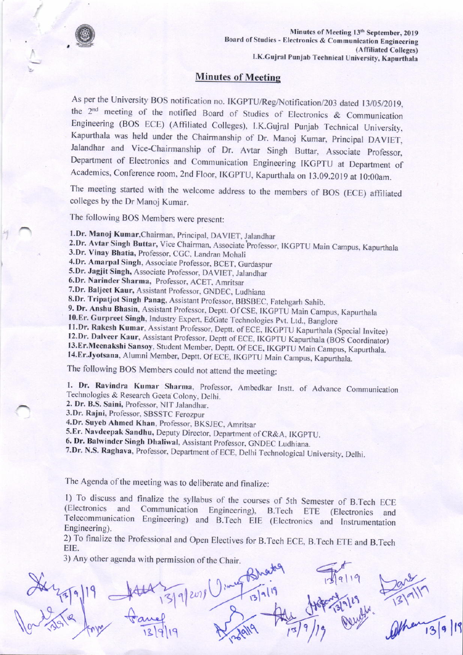

## Minutes of Meetine

As per the University BOS notification no. IKGPTU/Reg/Notification/203 dated 13/05/2019, the  $2<sup>nd</sup>$  meeting of the notified Board of Studies of Electronics & Communication Engineering (BOS ECE) (Affiliated Colleges), I.K.Gujral Punjab Technical University, Kapurthala was held under the Chairmanship of Dr. Manoj Kumar, Principal DAVIET, Jalandhar and Vice-Chairmanship of Dr. Avtar Singh Buttar, Associate Professor, Department of Electronics and Communication Engineering IKCPIU at Department of Academics, Conference room, 2nd Floor, IKGPTU, Kapurthala on 13.09.2019 at 10:00am.

The meeting started with the welcome address to the members of BOS (ECE) affiliated colleges by the Dr Manoj Kumar.

The following BOS Members were present:

1.Dr. Manoj Kumar, Chairman, Principal, DAVIET, Jalandhar

- 2.Dr. Avtar Singh Buttar, Vice Chairman, Associate Professor, IKGPTU Main Campus, Kapurthala 3.Dr. Vinay Bhatia, Professor. CGC, Landran Mohali
- 

4.Dr. Amarpal Singh, Associate Professor, BCET, Gurdaspur

5.Dr. Jagjit Singh, Associate Professor, DAVIET, Jalandhar

6.Dr. Narinder Sharma, Professor, ACET, Amritsar

7.Dr. Baljeet Kaur, Assistant Professor, GNDEC, Ludhiana

8.Dr. Tripatjot Singh Panag, Assistant Professor, BBSBEC, Fatehgarh Sahib.

9. Dr. Anshu Bhasin, Assistant Professor, Deptt. Of CSE, IKGPTU Main Campus, Kapurthala 10.Er. Gurpreet Singh, Industry Expert, EdGate Technologies Pvt. Ltd., Banglore 11.Dr. Rakesh Kumar, Assistant Professor, Deptt. of EC

12. Dr. Dalveer Kaur, Assistant Professor, Deptt of ECE, IKGPTU Kapurthala (BOS Coordinator) 13. Er. Meenakshi Sansoy, Student Member, Deptt. Of ECE, IKGPTU Main Campus, Kapurthala. 14. Er. Jyotsana, Alumni Member, Deptt.

The following BOS Members could not aftend the meeting:

1. Dr. Ravindra Kumar Sharma, Professor, Ambedkar Instt. of Advance Communication Technologies & Research Geeta Colony, Delhi.

2. Dr. B.S. Saini, Professor, NIT Jalandhar.

3.Dr. Rajni, Professor, SBSSTC Ferozpur

4.Dr. Suyeb Ahmed Khan, Professor, BKSJEC, Amritsar

5.Er. Navdeepak Sandhu, Deputy Director, Department of CR&A, IKGPTU.

6. Dr. Balwinder Singh Dhaliwal, Assistant Professor, GNDEC Ludhiana.

7.Dr. N.S. Raghava, Professor, Department of ECE, Delhi Technological University, Delhi.

The Agenda of the meeting was to deliberate and finalize:

1) To discuss and finalize the syllabus of the courses of 5th Semester of B.Tech ECE (Electronics and Telecommunication Engineering) and B.Tech EIE (Electronics and lnstrumentation Communication Engineering), B.Tech ETE (Electronics and Engineering).

2) To finalize the Professional and Open Electives for B.Tech ECE, B.Tech ETE and B.Tech EIE.

3) Any other agenda with permission of the Chair.

rl  $H^{6}F^{7}A^{9}P$  $\frac{1}{3}$  $X_{4,4,4,19}$  +  $\frac{100}{131}$  and  $\int_{\alpha}^{2\pi} \frac{1}{10^{k}} e^{-\frac{1}{2} \left( \frac{1}{2} \right)^{k}} \int_{\alpha}^{2\pi} \frac{1}{10^{k}} e^{-\frac{1}{2} \left( \frac{1}{2} \right)^{k}} \int_{\alpha}^{2\pi} \frac{1}{10^{k}} e^{-\frac{1}{2} \left( \frac{1}{2} \right)^{k}} \int_{\alpha}^{2\pi} \frac{1}{10^{k}} e^{-\frac{1}{2} \left( \frac{1}{2} \right)^{k}} \int_{\alpha}^{2\pi} \frac{1}{10^{k}} e^{-\frac{1}{2} \left( \frac{$  $\frac{10000}{3}$ Irt